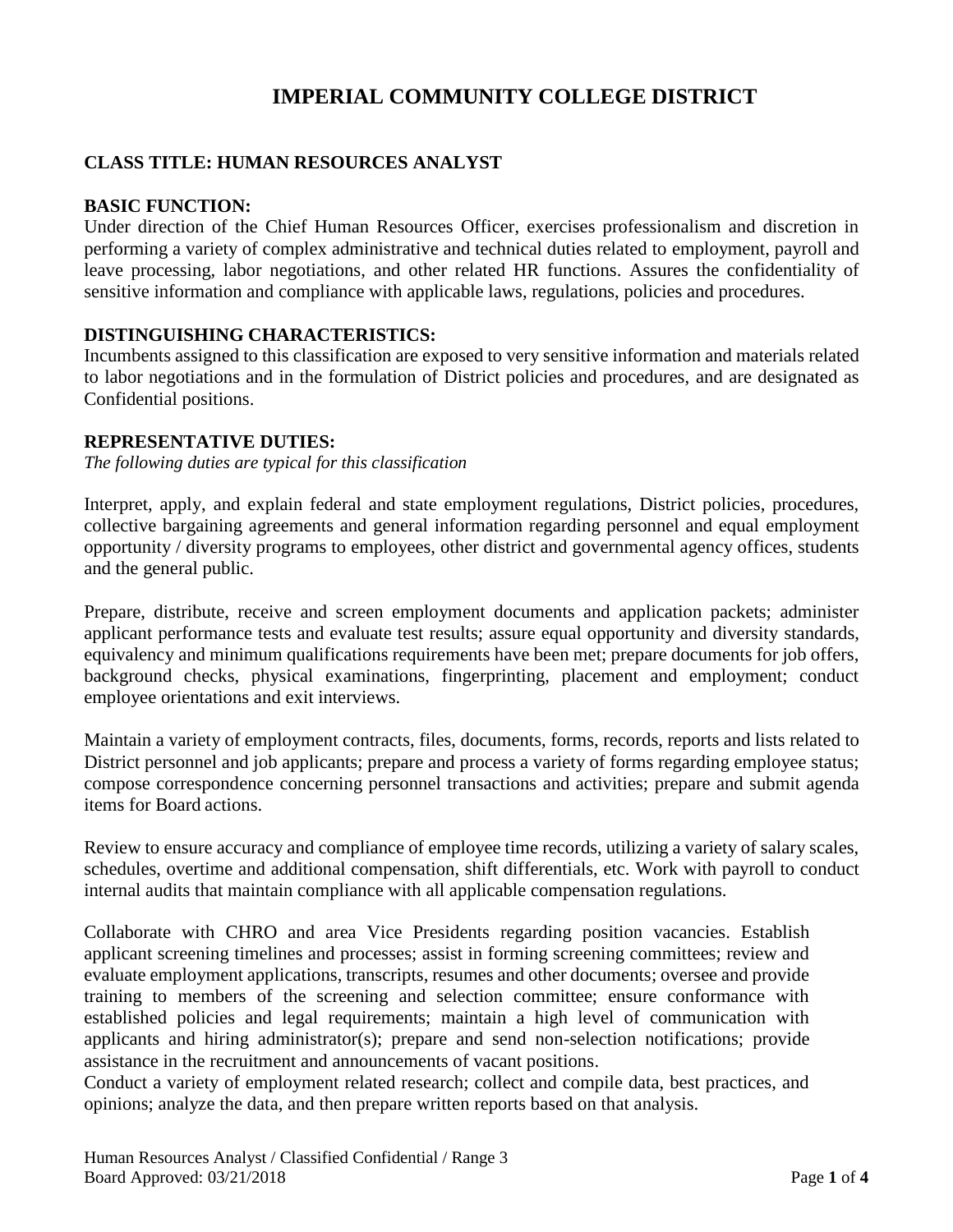# **IMPERIAL COMMUNITY COLLEGE DISTRICT**

## **CLASS TITLE: HUMAN RESOURCES ANALYST**

#### **BASIC FUNCTION:**

Under direction of the Chief Human Resources Officer, exercises professionalism and discretion in performing a variety of complex administrative and technical duties related to employment, payroll and leave processing, labor negotiations, and other related HR functions. Assures the confidentiality of sensitive information and compliance with applicable laws, regulations, policies and procedures.

#### **DISTINGUISHING CHARACTERISTICS:**

Incumbents assigned to this classification are exposed to very sensitive information and materials related to labor negotiations and in the formulation of District policies and procedures, and are designated as Confidential positions.

#### **REPRESENTATIVE DUTIES:**

*The following duties are typical for this classification*

Interpret, apply, and explain federal and state employment regulations, District policies, procedures, collective bargaining agreements and general information regarding personnel and equal employment opportunity / diversity programs to employees, other district and governmental agency offices, students and the general public.

Prepare, distribute, receive and screen employment documents and application packets; administer applicant performance tests and evaluate test results; assure equal opportunity and diversity standards, equivalency and minimum qualifications requirements have been met; prepare documents for job offers, background checks, physical examinations, fingerprinting, placement and employment; conduct employee orientations and exit interviews.

Maintain a variety of employment contracts, files, documents, forms, records, reports and lists related to District personnel and job applicants; prepare and process a variety of forms regarding employee status; compose correspondence concerning personnel transactions and activities; prepare and submit agenda items for Board actions.

Review to ensure accuracy and compliance of employee time records, utilizing a variety of salary scales, schedules, overtime and additional compensation, shift differentials, etc. Work with payroll to conduct internal audits that maintain compliance with all applicable compensation regulations.

Collaborate with CHRO and area Vice Presidents regarding position vacancies. Establish applicant screening timelines and processes; assist in forming screening committees; review and evaluate employment applications, transcripts, resumes and other documents; oversee and provide training to members of the screening and selection committee; ensure conformance with established policies and legal requirements; maintain a high level of communication with applicants and hiring administrator(s); prepare and send non-selection notifications; provide assistance in the recruitment and announcements of vacant positions.

Conduct a variety of employment related research; collect and compile data, best practices, and opinions; analyze the data, and then prepare written reports based on that analysis.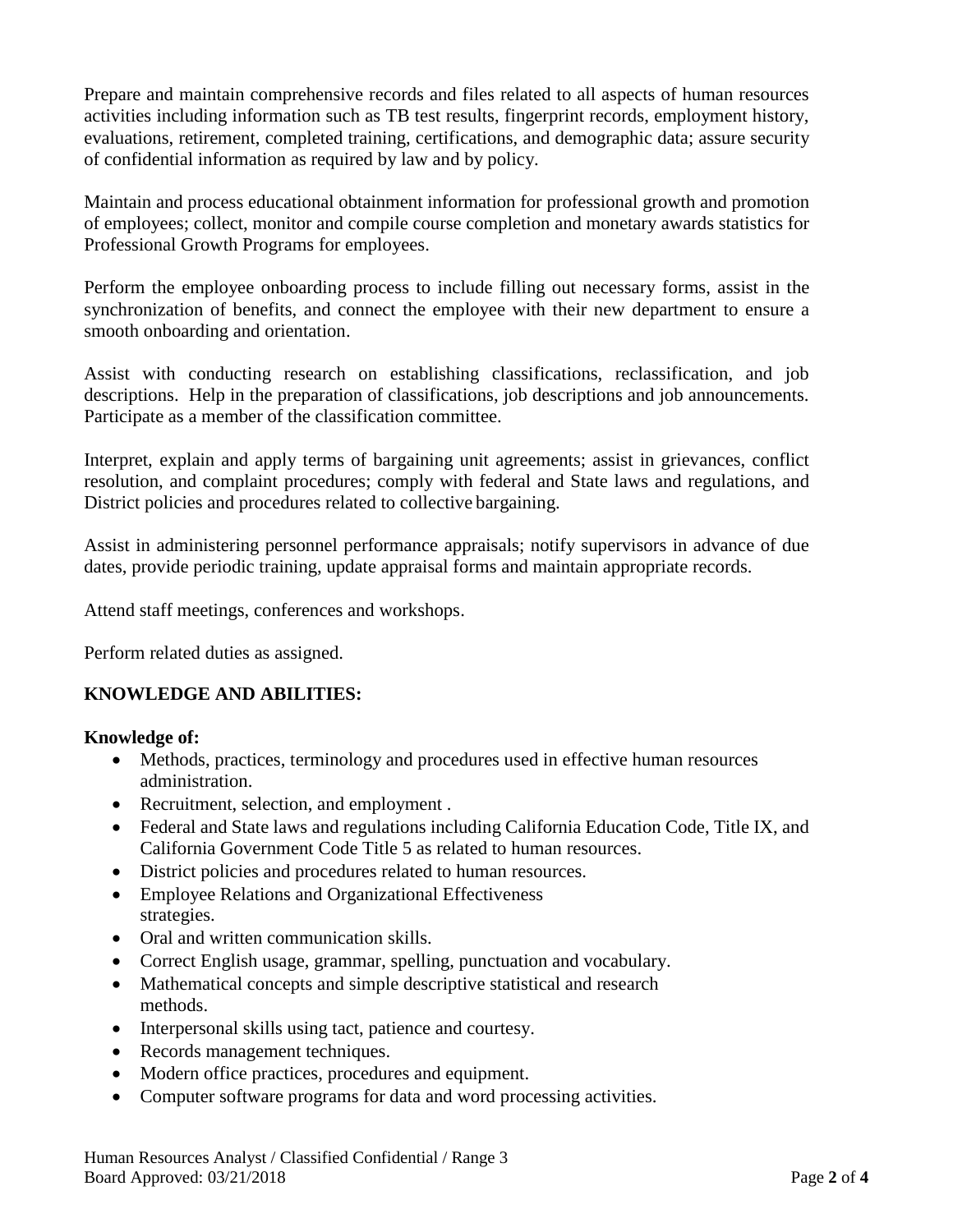Prepare and maintain comprehensive records and files related to all aspects of human resources activities including information such as TB test results, fingerprint records, employment history, evaluations, retirement, completed training, certifications, and demographic data; assure security of confidential information as required by law and by policy.

Maintain and process educational obtainment information for professional growth and promotion of employees; collect, monitor and compile course completion and monetary awards statistics for Professional Growth Programs for employees.

Perform the employee onboarding process to include filling out necessary forms, assist in the synchronization of benefits, and connect the employee with their new department to ensure a smooth onboarding and orientation.

Assist with conducting research on establishing classifications, reclassification, and job descriptions. Help in the preparation of classifications, job descriptions and job announcements. Participate as a member of the classification committee.

Interpret, explain and apply terms of bargaining unit agreements; assist in grievances, conflict resolution, and complaint procedures; comply with federal and State laws and regulations, and District policies and procedures related to collective bargaining.

Assist in administering personnel performance appraisals; notify supervisors in advance of due dates, provide periodic training, update appraisal forms and maintain appropriate records.

Attend staff meetings, conferences and workshops.

Perform related duties as assigned.

## **KNOWLEDGE AND ABILITIES:**

#### **Knowledge of:**

- Methods, practices, terminology and procedures used in effective human resources administration.
- Recruitment, selection, and employment .
- Federal and State laws and regulations including California Education Code, Title IX, and California Government Code Title 5 as related to human resources.
- District policies and procedures related to human resources.
- Employee Relations and Organizational Effectiveness strategies.
- Oral and written communication skills.
- Correct English usage, grammar, spelling, punctuation and vocabulary.
- Mathematical concepts and simple descriptive statistical and research methods.
- Interpersonal skills using tact, patience and courtesy.
- Records management techniques.
- Modern office practices, procedures and equipment.
- Computer software programs for data and word processing activities.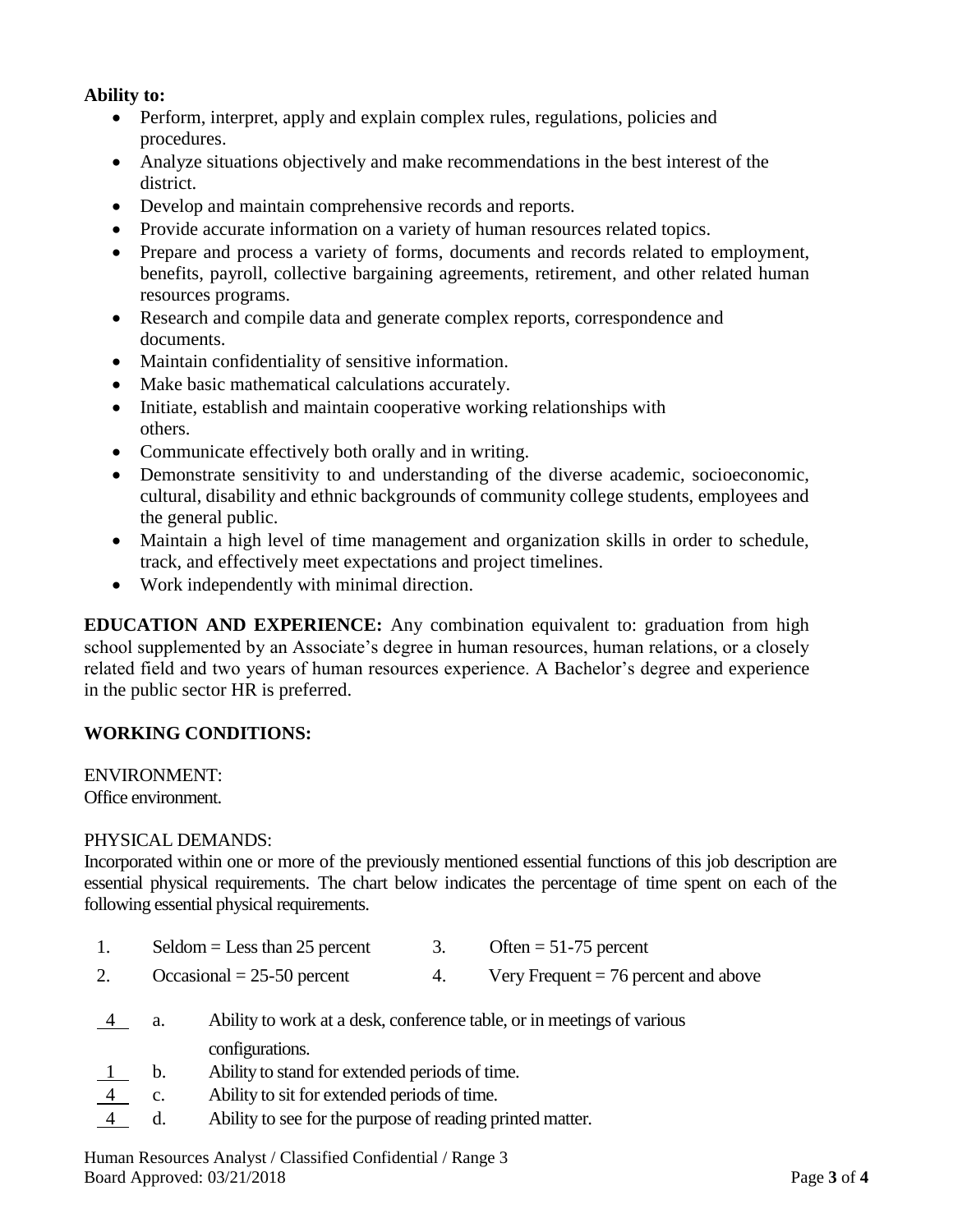## **Ability to:**

- Perform, interpret, apply and explain complex rules, regulations, policies and procedures.
- Analyze situations objectively and make recommendations in the best interest of the district.
- Develop and maintain comprehensive records and reports.
- Provide accurate information on a variety of human resources related topics.
- Prepare and process a variety of forms, documents and records related to employment, benefits, payroll, collective bargaining agreements, retirement, and other related human resources programs.
- Research and compile data and generate complex reports, correspondence and documents.
- Maintain confidentiality of sensitive information.
- Make basic mathematical calculations accurately.
- Initiate, establish and maintain cooperative working relationships with others.
- Communicate effectively both orally and in writing.
- Demonstrate sensitivity to and understanding of the diverse academic, socioeconomic, cultural, disability and ethnic backgrounds of community college students, employees and the general public.
- Maintain a high level of time management and organization skills in order to schedule, track, and effectively meet expectations and project timelines.
- Work independently with minimal direction.

**EDUCATION AND EXPERIENCE:** Any combination equivalent to: graduation from high school supplemented by an Associate's degree in human resources, human relations, or a closely related field and two years of human resources experience. A Bachelor's degree and experience in the public sector HR is preferred.

## **WORKING CONDITIONS:**

ENVIRONMENT: Office environment.

## PHYSICAL DEMANDS:

Incorporated within one or more of the previously mentioned essential functions of this job description are essential physical requirements. The chart below indicates the percentage of time spent on each of the following essential physical requirements.

|  | Seldom = Less than $25$ percent |  | Often $= 51-75$ percent |  |
|--|---------------------------------|--|-------------------------|--|
|--|---------------------------------|--|-------------------------|--|

2. Occasional  $= 25-50$  percent 4. Very Frequent  $= 76$  percent and above

|  | Ability to work at a desk, conference table, or in meetings of various |
|--|------------------------------------------------------------------------|
|  | configurations.                                                        |

- b. Ability to stand for extended periods of time.
- c. Ability to sit for extended periods of time.
- d. Ability to see for the purpose of reading printed matter.